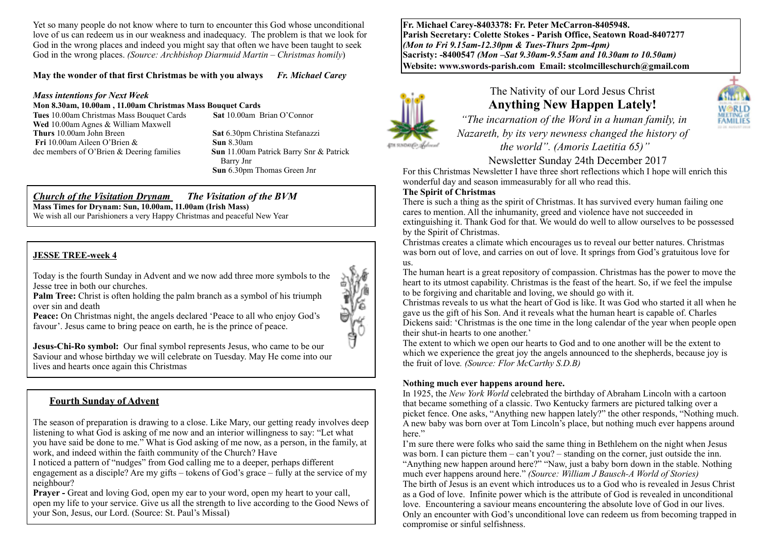Yet so many people do not know where to turn to encounter this God whose unconditional love of us can redeem us in our weakness and inadequacy. The problem is that we look for God in the wrong places and indeed you might say that often we have been taught to seek God in the wrong places. *(Source: Archbishop Diarmuid Martin – Christmas homily*)

#### **May the wonder of that first Christmas be with you always** *Fr. Michael Carey*

#### *Mass intentions for Next Week*

#### **Mon 8.30am, 10.00am , 11.00am Christmas Mass Bouquet Cards**

**Tues** 10.00am Christmas Mass Bouquet Cards **Sat** 10.00am Brian O'Connor **Wed** 10.00am Agnes & William Maxwell **Thurs** 10.00am John Breen **Sat** 6.30pm Christina Stefanazzi **Fri** 10.00am Aileen O'Brien & **Sun** 8.30am<br>dec members of O'Brien & Deering families **Sun** 11.00am Patrick Barry Snr & Patrick dec members of O'Brien & Deering families

 Barry Jnr **Sun** 6.30pm Thomas Green Jnr

#### *Church of the Visitation Drynam**The Visitation of the BVM* **Mass Times for Drynam: Sun, 10.00am, 11.00am (Irish Mass)**

We wish all our Parishioners a very Happy Christmas and peaceful New Year

#### **JESSE TREE-week 4**

Today is the fourth Sunday in Advent and we now add three more symbols to the Jesse tree in both our churches.

**Palm Tree:** Christ is often holding the palm branch as a symbol of his triumph over sin and death

**Peace:** On Christmas night, the angels declared 'Peace to all who enjoy God's favour'. Jesus came to bring peace on earth, he is the prince of peace.

旅行 je<br>F

**Jesus-Chi-Ro symbol:** Our final symbol represents Jesus, who came to be our Saviour and whose birthday we will celebrate on Tuesday. May He come into our lives and hearts once again this Christmas

#### **Fourth Sunday of Advent**

The season of preparation is drawing to a close. Like Mary, our getting ready involves deep listening to what God is asking of me now and an interior willingness to say: "Let what you have said be done to me." What is God asking of me now, as a person, in the family, at work, and indeed within the faith community of the Church? Have

I noticed a pattern of "nudges" from God calling me to a deeper, perhaps different engagement as a disciple? Are my gifts – tokens of God's grace – fully at the service of my neighbour?

**Prayer -** Great and loving God, open my ear to your word, open my heart to your call, open my life to your service. Give us all the strength to live according to the Good News of your Son, Jesus, our Lord. (Source: St. Paul's Missal)

**Fr. Michael Carey-8403378: Fr. Peter McCarron-8405948. Parish Secretary: Colette Stokes - Parish Office, Seatown Road-8407277**  *(Mon to Fri 9.15am-12.30pm & Tues-Thurs 2pm-4pm)*  **Sacristy: -8400547** *(Mon –Sat 9.30am-9.55am and 10.30am to 10.50am)* **Website: [www.swords-parish.com Email:](http://www.swords-parish.com%20%20email) stcolmcilleschurch@gmail.com**



# The Nativity of our Lord Jesus Christ **Anything New Happen Lately!**



 *"The incarnation of the Word in a human family, in Nazareth, by its very newness changed the history of the world". (Amoris Laetitia 65)"* 

Newsletter Sunday 24th December 2017

For this Christmas Newsletter I have three short reflections which I hope will enrich this wonderful day and season immeasurably for all who read this.

#### **The Spirit of Christmas**

There is such a thing as the spirit of Christmas. It has survived every human failing one cares to mention. All the inhumanity, greed and violence have not succeeded in extinguishing it. Thank God for that. We would do well to allow ourselves to be possessed by the Spirit of Christmas.

Christmas creates a climate which encourages us to reveal our better natures. Christmas was born out of love, and carries on out of love. It springs from God's gratuitous love for us.

The human heart is a great repository of compassion. Christmas has the power to move the heart to its utmost capability. Christmas is the feast of the heart. So, if we feel the impulse to be forgiving and charitable and loving, we should go with it.

Christmas reveals to us what the heart of God is like. It was God who started it all when he gave us the gift of his Son. And it reveals what the human heart is capable of. Charles Dickens said: 'Christmas is the one time in the long calendar of the year when people open their shut-in hearts to one another.'

The extent to which we open our hearts to God and to one another will be the extent to which we experience the great joy the angels announced to the shepherds, because joy is the fruit of love*. (Source: Flor McCarthy S.D.B)*

#### **Nothing much ever happens around here.**

In 1925, the *New York World* celebrated the birthday of Abraham Lincoln with a cartoon that became something of a classic. Two Kentucky farmers are pictured talking over a picket fence. One asks, "Anything new happen lately?" the other responds, "Nothing much. A new baby was born over at Tom Lincoln's place, but nothing much ever happens around here."

I'm sure there were folks who said the same thing in Bethlehem on the night when Jesus was born. I can picture them – can't you? – standing on the corner, just outside the inn. "Anything new happen around here?" "Naw, just a baby born down in the stable. Nothing much ever happens around here." *(Source: William J Bausch-A World of Stories)* The birth of Jesus is an event which introduces us to a God who is revealed in Jesus Christ as a God of love. Infinite power which is the attribute of God is revealed in unconditional love. Encountering a saviour means encountering the absolute love of God in our lives. Only an encounter with God's unconditional love can redeem us from becoming trapped in compromise or sinful selfishness.